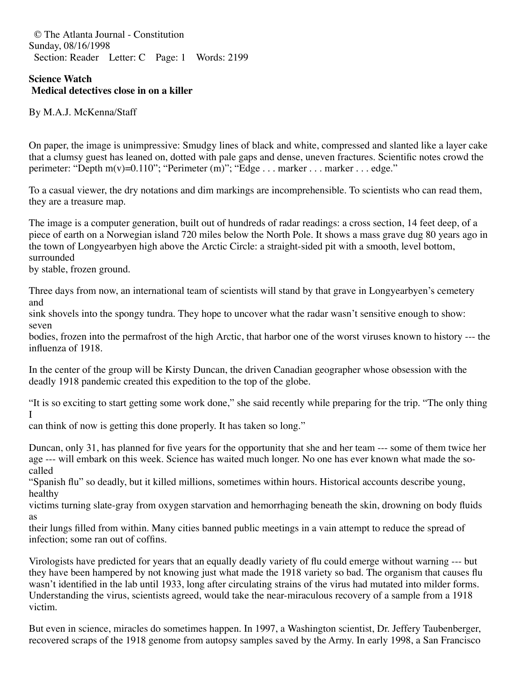© The Atlanta Journal - Constitution Sunday, 08/16/1998 Section: Reader Letter: C Page: 1 Words: 2199

## **Science Watch Medical detectives close in on a killer**

By M.A.J. McKenna/Staff

On paper, the image is unimpressive: Smudgy lines of black and white, compressed and slanted like a layer cake that a clumsy guest has leaned on, dotted with pale gaps and dense, uneven fractures. Scientific notes crowd the perimeter: "Depth m(v)=0.110"; "Perimeter (m)"; "Edge . . . marker . . . marker . . . edge."

To a casual viewer, the dry notations and dim markings are incomprehensible. To scientists who can read them, they are a treasure map.

The image is a computer generation, built out of hundreds of radar readings: a cross section, 14 feet deep, of a piece of earth on a Norwegian island 720 miles below the North Pole. It shows a mass grave dug 80 years ago in the town of Longyearbyen high above the Arctic Circle: a straight-sided pit with a smooth, level bottom, surrounded

by stable, frozen ground.

Three days from now, an international team of scientists will stand by that grave in Longyearbyen's cemetery and

sink shovels into the spongy tundra. They hope to uncover what the radar wasn't sensitive enough to show: seven

bodies, frozen into the permafrost of the high Arctic, that harbor one of the worst viruses known to history --- the influenza of 1918.

In the center of the group will be Kirsty Duncan, the driven Canadian geographer whose obsession with the deadly 1918 pandemic created this expedition to the top of the globe.

"It is so exciting to start getting some work done," she said recently while preparing for the trip. "The only thing I

can think of now is getting this done properly. It has taken so long."

Duncan, only 31, has planned for five years for the opportunity that she and her team --- some of them twice her age --- will embark on this week. Science has waited much longer. No one has ever known what made the socalled

"Spanish flu" so deadly, but it killed millions, sometimes within hours. Historical accounts describe young, healthy

victims turning slate-gray from oxygen starvation and hemorrhaging beneath the skin, drowning on body fluids as

their lungs filled from within. Many cities banned public meetings in a vain attempt to reduce the spread of infection; some ran out of coffins.

Virologists have predicted for years that an equally deadly variety of flu could emerge without warning --- but they have been hampered by not knowing just what made the 1918 variety so bad. The organism that causes flu wasn't identified in the lab until 1933, long after circulating strains of the virus had mutated into milder forms. Understanding the virus, scientists agreed, would take the near-miraculous recovery of a sample from a 1918 victim.

But even in science, miracles do sometimes happen. In 1997, a Washington scientist, Dr. Jeffery Taubenberger, recovered scraps of the 1918 genome from autopsy samples saved by the Army. In early 1998, a San Francisco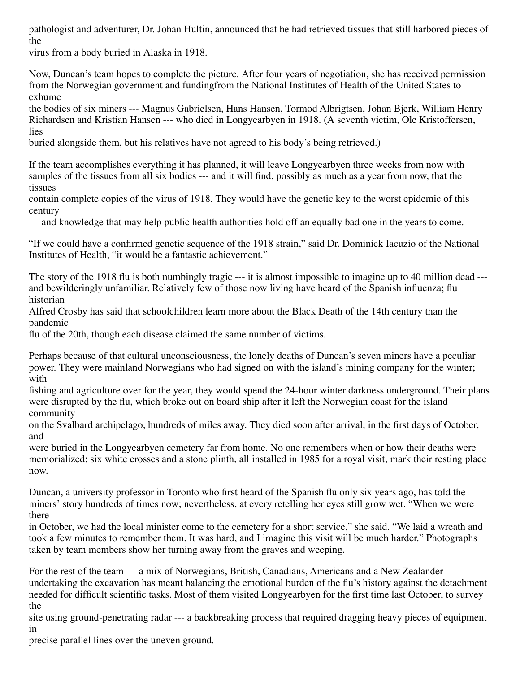pathologist and adventurer, Dr. Johan Hultin, announced that he had retrieved tissues that still harbored pieces of the

virus from a body buried in Alaska in 1918.

Now, Duncan's team hopes to complete the picture. After four years of negotiation, she has received permission from the Norwegian government and fundingfrom the National Institutes of Health of the United States to exhume

the bodies of six miners --- Magnus Gabrielsen, Hans Hansen, Tormod Albrigtsen, Johan Bjerk, William Henry Richardsen and Kristian Hansen --- who died in Longyearbyen in 1918. (A seventh victim, Ole Kristoffersen, lies

buried alongside them, but his relatives have not agreed to his body's being retrieved.)

If the team accomplishes everything it has planned, it will leave Longyearbyen three weeks from now with samples of the tissues from all six bodies --- and it will find, possibly as much as a year from now, that the tissues

contain complete copies of the virus of 1918. They would have the genetic key to the worst epidemic of this century

--- and knowledge that may help public health authorities hold off an equally bad one in the years to come.

"If we could have a confirmed genetic sequence of the 1918 strain," said Dr. Dominick Iacuzio of the National Institutes of Health, "it would be a fantastic achievement."

The story of the 1918 flu is both numbingly tragic --- it is almost impossible to imagine up to 40 million dead --and bewilderingly unfamiliar. Relatively few of those now living have heard of the Spanish influenza; flu historian

Alfred Crosby has said that schoolchildren learn more about the Black Death of the 14th century than the pandemic

flu of the 20th, though each disease claimed the same number of victims.

Perhaps because of that cultural unconsciousness, the lonely deaths of Duncan's seven miners have a peculiar power. They were mainland Norwegians who had signed on with the island's mining company for the winter; with

fishing and agriculture over for the year, they would spend the 24-hour winter darkness underground. Their plans were disrupted by the flu, which broke out on board ship after it left the Norwegian coast for the island community

on the Svalbard archipelago, hundreds of miles away. They died soon after arrival, in the first days of October, and

were buried in the Longyearbyen cemetery far from home. No one remembers when or how their deaths were memorialized; six white crosses and a stone plinth, all installed in 1985 for a royal visit, mark their resting place now.

Duncan, a university professor in Toronto who first heard of the Spanish flu only six years ago, has told the miners' story hundreds of times now; nevertheless, at every retelling her eyes still grow wet. "When we were there

in October, we had the local minister come to the cemetery for a short service," she said. "We laid a wreath and took a few minutes to remember them. It was hard, and I imagine this visit will be much harder." Photographs taken by team members show her turning away from the graves and weeping.

For the rest of the team --- a mix of Norwegians, British, Canadians, Americans and a New Zealander -- undertaking the excavation has meant balancing the emotional burden of the flu's history against the detachment needed for difficult scientific tasks. Most of them visited Longyearbyen for the first time last October, to survey the

site using ground-penetrating radar --- a backbreaking process that required dragging heavy pieces of equipment in

precise parallel lines over the uneven ground.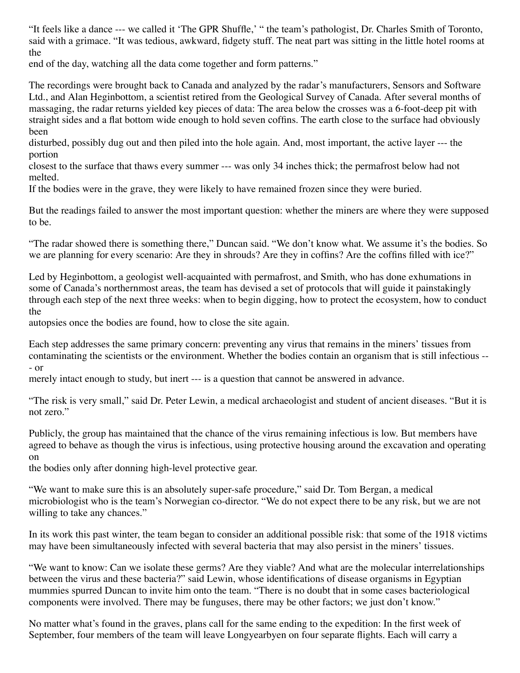"It feels like a dance --- we called it 'The GPR Shuffle,' " the team's pathologist, Dr. Charles Smith of Toronto, said with a grimace. "It was tedious, awkward, fidgety stuff. The neat part was sitting in the little hotel rooms at the

end of the day, watching all the data come together and form patterns."

The recordings were brought back to Canada and analyzed by the radar's manufacturers, Sensors and Software Ltd., and Alan Heginbottom, a scientist retired from the Geological Survey of Canada. After several months of massaging, the radar returns yielded key pieces of data: The area below the crosses was a 6-foot-deep pit with straight sides and a flat bottom wide enough to hold seven coffins. The earth close to the surface had obviously been

disturbed, possibly dug out and then piled into the hole again. And, most important, the active layer --- the portion

closest to the surface that thaws every summer --- was only 34 inches thick; the permafrost below had not melted.

If the bodies were in the grave, they were likely to have remained frozen since they were buried.

But the readings failed to answer the most important question: whether the miners are where they were supposed to be.

"The radar showed there is something there," Duncan said. "We don't know what. We assume it's the bodies. So we are planning for every scenario: Are they in shrouds? Are they in coffins? Are the coffins filled with ice?"

Led by Heginbottom, a geologist well-acquainted with permafrost, and Smith, who has done exhumations in some of Canada's northernmost areas, the team has devised a set of protocols that will guide it painstakingly through each step of the next three weeks: when to begin digging, how to protect the ecosystem, how to conduct the

autopsies once the bodies are found, how to close the site again.

Each step addresses the same primary concern: preventing any virus that remains in the miners' tissues from contaminating the scientists or the environment. Whether the bodies contain an organism that is still infectious -- - or

merely intact enough to study, but inert --- is a question that cannot be answered in advance.

"The risk is very small," said Dr. Peter Lewin, a medical archaeologist and student of ancient diseases. "But it is not zero."

Publicly, the group has maintained that the chance of the virus remaining infectious is low. But members have agreed to behave as though the virus is infectious, using protective housing around the excavation and operating on

the bodies only after donning high-level protective gear.

"We want to make sure this is an absolutely super-safe procedure," said Dr. Tom Bergan, a medical microbiologist who is the team's Norwegian co-director. "We do not expect there to be any risk, but we are not willing to take any chances."

In its work this past winter, the team began to consider an additional possible risk: that some of the 1918 victims may have been simultaneously infected with several bacteria that may also persist in the miners' tissues.

"We want to know: Can we isolate these germs? Are they viable? And what are the molecular interrelationships between the virus and these bacteria?" said Lewin, whose identifications of disease organisms in Egyptian mummies spurred Duncan to invite him onto the team. "There is no doubt that in some cases bacteriological components were involved. There may be funguses, there may be other factors; we just don't know."

No matter what's found in the graves, plans call for the same ending to the expedition: In the first week of September, four members of the team will leave Longyearbyen on four separate flights. Each will carry a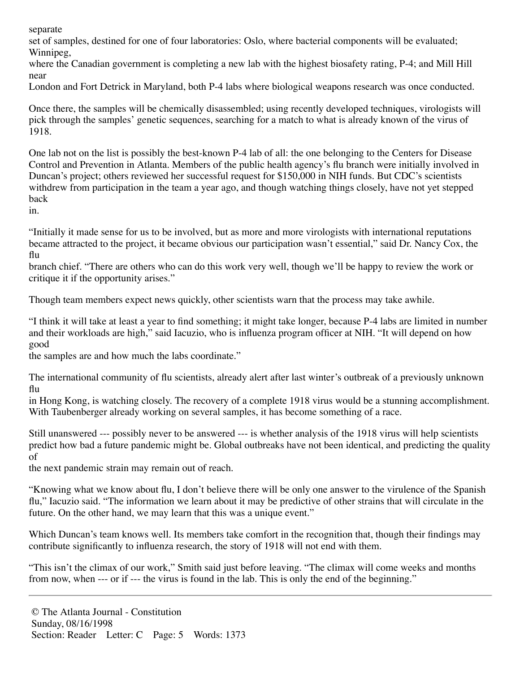separate

set of samples, destined for one of four laboratories: Oslo, where bacterial components will be evaluated; Winnipeg.

where the Canadian government is completing a new lab with the highest biosafety rating, P-4; and Mill Hill near

London and Fort Detrick in Maryland, both P-4 labs where biological weapons research was once conducted.

Once there, the samples will be chemically disassembled; using recently developed techniques, virologists will pick through the samples' genetic sequences, searching for a match to what is already known of the virus of 1918.

One lab not on the list is possibly the best-known P-4 lab of all: the one belonging to the Centers for Disease Control and Prevention in Atlanta. Members of the public health agency's flu branch were initially involved in Duncan's project; others reviewed her successful request for \$150,000 in NIH funds. But CDC's scientists withdrew from participation in the team a year ago, and though watching things closely, have not yet stepped back

in.

"Initially it made sense for us to be involved, but as more and more virologists with international reputations became attracted to the project, it became obvious our participation wasn't essential," said Dr. Nancy Cox, the flu

branch chief. "There are others who can do this work very well, though we'll be happy to review the work or critique it if the opportunity arises."

Though team members expect news quickly, other scientists warn that the process may take awhile.

"I think it will take at least a year to find something; it might take longer, because P-4 labs are limited in number and their workloads are high," said Iacuzio, who is influenza program officer at NIH. "It will depend on how good

the samples are and how much the labs coordinate."

The international community of flu scientists, already alert after last winter's outbreak of a previously unknown flu

in Hong Kong, is watching closely. The recovery of a complete 1918 virus would be a stunning accomplishment. With Taubenberger already working on several samples, it has become something of a race.

Still unanswered --- possibly never to be answered --- is whether analysis of the 1918 virus will help scientists predict how bad a future pandemic might be. Global outbreaks have not been identical, and predicting the quality of

the next pandemic strain may remain out of reach.

"Knowing what we know about flu, I don't believe there will be only one answer to the virulence of the Spanish flu," Iacuzio said. "The information we learn about it may be predictive of other strains that will circulate in the future. On the other hand, we may learn that this was a unique event."

Which Duncan's team knows well. Its members take comfort in the recognition that, though their findings may contribute significantly to influenza research, the story of 1918 will not end with them.

"This isn't the climax of our work," Smith said just before leaving. "The climax will come weeks and months from now, when --- or if --- the virus is found in the lab. This is only the end of the beginning."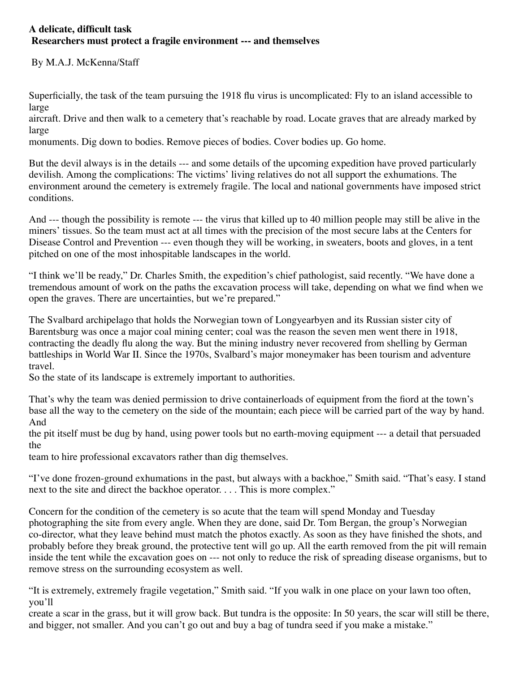## **A delicate, difficult task Researchers must protect a fragile environment --- and themselves**

By M.A.J. McKenna/Staff

Superficially, the task of the team pursuing the 1918 flu virus is uncomplicated: Fly to an island accessible to large

aircraft. Drive and then walk to a cemetery that's reachable by road. Locate graves that are already marked by large

monuments. Dig down to bodies. Remove pieces of bodies. Cover bodies up. Go home.

But the devil always is in the details --- and some details of the upcoming expedition have proved particularly devilish. Among the complications: The victims' living relatives do not all support the exhumations. The environment around the cemetery is extremely fragile. The local and national governments have imposed strict conditions.

And --- though the possibility is remote --- the virus that killed up to 40 million people may still be alive in the miners' tissues. So the team must act at all times with the precision of the most secure labs at the Centers for Disease Control and Prevention --- even though they will be working, in sweaters, boots and gloves, in a tent pitched on one of the most inhospitable landscapes in the world.

"I think we'll be ready," Dr. Charles Smith, the expedition's chief pathologist, said recently. "We have done a tremendous amount of work on the paths the excavation process will take, depending on what we find when we open the graves. There are uncertainties, but we're prepared."

The Svalbard archipelago that holds the Norwegian town of Longyearbyen and its Russian sister city of Barentsburg was once a major coal mining center; coal was the reason the seven men went there in 1918, contracting the deadly flu along the way. But the mining industry never recovered from shelling by German battleships in World War II. Since the 1970s, Svalbard's major moneymaker has been tourism and adventure travel.

So the state of its landscape is extremely important to authorities.

That's why the team was denied permission to drive containerloads of equipment from the fiord at the town's base all the way to the cemetery on the side of the mountain; each piece will be carried part of the way by hand. And

the pit itself must be dug by hand, using power tools but no earth-moving equipment --- a detail that persuaded the

team to hire professional excavators rather than dig themselves.

"I've done frozen-ground exhumations in the past, but always with a backhoe," Smith said. "That's easy. I stand next to the site and direct the backhoe operator. . . . This is more complex."

Concern for the condition of the cemetery is so acute that the team will spend Monday and Tuesday photographing the site from every angle. When they are done, said Dr. Tom Bergan, the group's Norwegian co-director, what they leave behind must match the photos exactly. As soon as they have finished the shots, and probably before they break ground, the protective tent will go up. All the earth removed from the pit will remain inside the tent while the excavation goes on --- not only to reduce the risk of spreading disease organisms, but to remove stress on the surrounding ecosystem as well.

"It is extremely, extremely fragile vegetation," Smith said. "If you walk in one place on your lawn too often, you'll

create a scar in the grass, but it will grow back. But tundra is the opposite: In 50 years, the scar will still be there, and bigger, not smaller. And you can't go out and buy a bag of tundra seed if you make a mistake."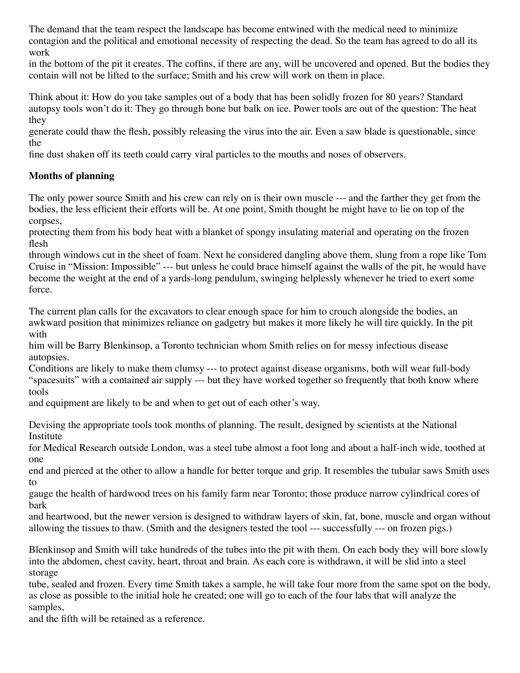The demand that the team respect the landscape has become entwined with the medical need to minimize contagion and the political and emotional necessity of respecting the dead. So the team has agreed to do all its work

in the bottom of the pit it creates. The coffins, if there are any, will be uncovered and opened. But the bodies they contain will not be lifted to the surface; Smith and his crew will work on them in place.

Think about it: How do you take samples out of a body that has been solidly frozen for 80 years? Standard autopsy tools won't do it: They go through bone but balk on ice. Power tools are out of the question: The heat they

generate could thaw the flesh, possibly releasing the virus into the air. Even a saw blade is questionable, since the

fine dust shaken off its teeth could carry viral particles to the mouths and noses of observers.

## **Months of planning**

The only power source Smith and his crew can rely on is their own muscle --- and the farther they get from the bodies, the less efficient their efforts will be. At one point, Smith thought he might have to lie on top of the corpses,

protecting them from his body heat with a blanket of spongy insulating material and operating on the frozen flesh

through windows cut in the sheet of foam. Next he considered dangling above them, slung from a rope like Tom Cruise in "Mission: Impossible" --- but unless he could brace himself against the walls of the pit, he would have become the weight at the end of a yards-long pendulum, swinging helplessly whenever he tried to exert some force.

The current plan calls for the excavators to clear enough space for him to crouch alongside the bodies, an awkward position that minimizes reliance on gadgetry but makes it more likely he will tire quickly. In the pit with

him will be Barry Blenkinsop, a Toronto technician whom Smith relies on for messy infectious disease autopsies.

Conditions are likely to make them clumsy --- to protect against disease organisms, both will wear full-body "spacesuits" with a contained air supply --- but they have worked together so frequently that both know where tools

and equipment are likely to be and when to get out of each other's way.

Devising the appropriate tools took months of planning. The result, designed by scientists at the National Institute

for Medical Research outside London, was a steel tube almost a foot long and about a half-inch wide, toothed at one

end and pierced at the other to allow a handle for better torque and grip. It resembles the tubular saws Smith uses to

gauge the health of hardwood trees on his family farm near Toronto; those produce narrow cylindrical cores of bark

and heartwood, but the newer version is designed to withdraw layers of skin, fat, bone, muscle and organ without allowing the tissues to thaw. (Smith and the designers tested the tool --- successfully --- on frozen pigs.)

Blenkinsop and Smith will take hundreds of the tubes into the pit with them. On each body they will bore slowly into the abdomen, chest cavity, heart, throat and brain. As each core is withdrawn, it will be slid into a steel storage

tube, sealed and frozen. Every time Smith takes a sample, he will take four more from the same spot on the body, as close as possible to the initial hole he created; one will go to each of the four labs that will analyze the samples,

and the fifth will be retained as a reference.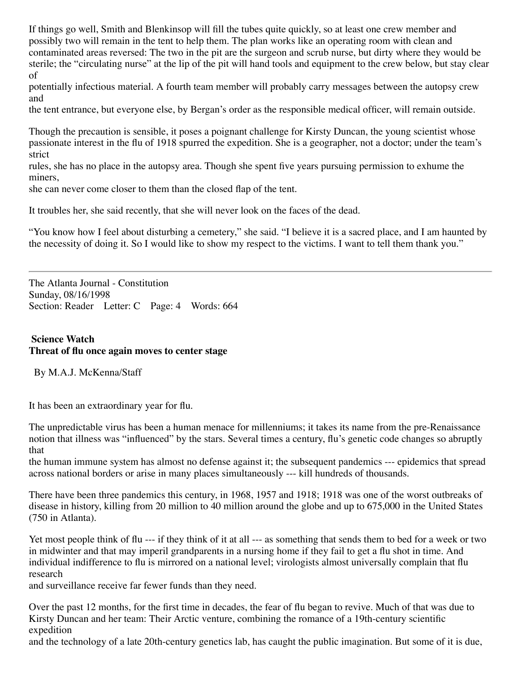If things go well, Smith and Blenkinsop will fill the tubes quite quickly, so at least one crew member and possibly two will remain in the tent to help them. The plan works like an operating room with clean and contaminated areas reversed: The two in the pit are the surgeon and scrub nurse, but dirty where they would be sterile; the "circulating nurse" at the lip of the pit will hand tools and equipment to the crew below, but stay clear of

potentially infectious material. A fourth team member will probably carry messages between the autopsy crew and

the tent entrance, but everyone else, by Bergan's order as the responsible medical officer, will remain outside.

Though the precaution is sensible, it poses a poignant challenge for Kirsty Duncan, the young scientist whose passionate interest in the flu of 1918 spurred the expedition. She is a geographer, not a doctor; under the team's strict

rules, she has no place in the autopsy area. Though she spent five years pursuing permission to exhume the miners,

she can never come closer to them than the closed flap of the tent.

It troubles her, she said recently, that she will never look on the faces of the dead.

"You know how I feel about disturbing a cemetery," she said. "I believe it is a sacred place, and I am haunted by the necessity of doing it. So I would like to show my respect to the victims. I want to tell them thank you."

The Atlanta Journal - Constitution Sunday, 08/16/1998 Section: Reader Letter: C Page: 4 Words: 664

## **Science Watch Threat of flu once again moves to center stage**

By M.A.J. McKenna/Staff

It has been an extraordinary year for flu.

The unpredictable virus has been a human menace for millenniums; it takes its name from the pre-Renaissance notion that illness was "influenced" by the stars. Several times a century, flu's genetic code changes so abruptly that

the human immune system has almost no defense against it; the subsequent pandemics --- epidemics that spread across national borders or arise in many places simultaneously --- kill hundreds of thousands.

There have been three pandemics this century, in 1968, 1957 and 1918; 1918 was one of the worst outbreaks of disease in history, killing from 20 million to 40 million around the globe and up to 675,000 in the United States (750 in Atlanta).

Yet most people think of flu --- if they think of it at all --- as something that sends them to bed for a week or two in midwinter and that may imperil grandparents in a nursing home if they fail to get a flu shot in time. And individual indifference to flu is mirrored on a national level; virologists almost universally complain that flu research

and surveillance receive far fewer funds than they need.

Over the past 12 months, for the first time in decades, the fear of flu began to revive. Much of that was due to Kirsty Duncan and her team: Their Arctic venture, combining the romance of a 19th-century scientific expedition

and the technology of a late 20th-century genetics lab, has caught the public imagination. But some of it is due,